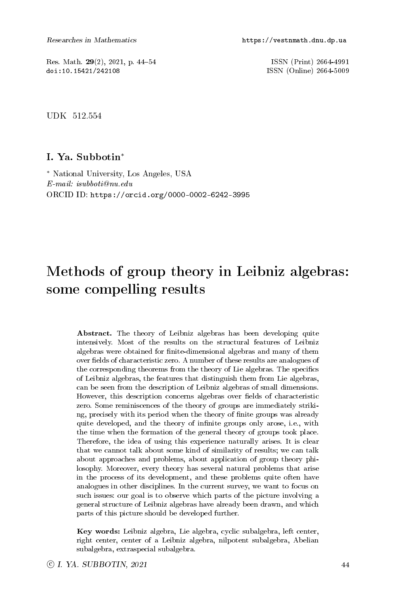Res. Math. 29(2), 2021, p. 44-54 ISSN (Print) 2664-4991<br>doi:10.15421/242108 ISSN (Online) 2664-5009

ISSN (Online) 2664-5009

UDK 512.554

### I. Ya. Subbotin<sup>∗</sup>

<sup>∗</sup> National University, Los Angeles, USA E-mail: isubboti@nu.edu ORCID ID: https://orcid.org/0000-0002-6242-3995

# Methods of group theory in Leibniz algebras: some compelling results

Abstract. The theory of Leibniz algebras has been developing quite intensively. Most of the results on the structural features of Leibniz algebras were obtained for finite-dimensional algebras and many of them over fields of characteristic zero. A number of these results are analogues of the corresponding theorems from the theory of Lie algebras. The specifics of Leibniz algebras, the features that distinguish them from Lie algebras, can be seen from the description of Leibniz algebras of small dimensions. However, this description concerns algebras over fields of characteristic zero. Some reminiscences of the theory of groups are immediately striking, precisely with its period when the theory of finite groups was already quite developed, and the theory of infinite groups only arose, i.e., with the time when the formation of the general theory of groups took place. Therefore, the idea of using this experience naturally arises. It is clear that we cannot talk about some kind of similarity of results; we can talk about approaches and problems, about application of group theory philosophy. Moreover, every theory has several natural problems that arise in the process of its development, and these problems quite often have analogues in other disciplines. In the current survey, we want to focus on such issues: our goal is to observe which parts of the picture involving a general structure of Leibniz algebras have already been drawn, and which parts of this picture should be developed further.

Key words: Leibniz algebra, Lie algebra, cyclic subalgebra, left center, right center, center of a Leibniz algebra, nilpotent subalgebra, Abelian subalgebra, extraspecial subalgebra.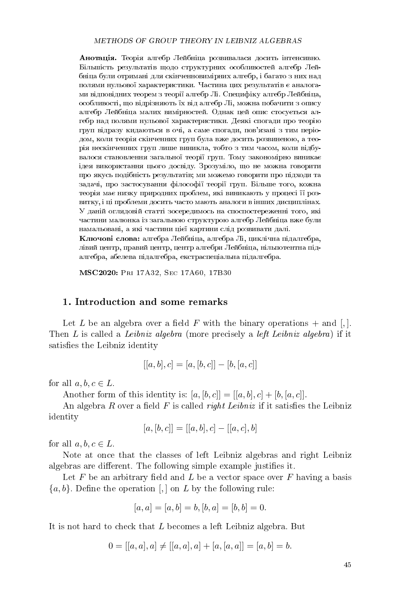**Анотація.** Теорія алгебр Лейбніца розвивалася досить інтенсивно. Більшість результатів щодо структурних особливостей алгебр Лейбніца були отримані для скінченновимірних алгебр, і багато з них над полями нульової характеристики. Частина цих результатів є аналогами відповідних теорем з теорії алгебр Лі. Специфіку алгебр Лейбніца, особливості, що відрізняють їх від алгебр Лі, можна побачити з опису алгебр Лейбніца малих вимірностей. Однак цей опис стосується алгебр над полями нульової характеристики. Деякі спогади про теорію груп відразу кидаються в очі, а саме спогади, пов'язані з тим періодом, коли теорія скінченних груп була вже досить розвиненою, а теорія нескінченних груп лише виникла, тобто з тим часом, коли відбувалося становлення загальної теорії груп. Тому закономірно виникає iдея використання цього досвіду. Зрозуміло, що не можна говорити про якусь подібність результатів; ми можемо говорити про підходи та задачі, про застосування філософії теорії груп. Більше того, кожна теорія має низку природних проблем, які виникають у процесі її розвитку, і ці проблеми досить часто мають аналоги в інших дисциплінах. У даній оглядовій статті зосередимось на споспостереженні того, які частини малюнка із загальною структурою алгебр Лейбніца вже були намальовані, а які частини цієї картини слід розвивати далі.

Ключові слова: алгебра Лейбніца, алгебра Лі, циклічна підалгебра, лівий центр, правий центр, центр алгебри Лейбніца, нільпотентна підалгебра, абелева підалгебра, екстраспеціальна підалгебра.

MSC2020: Pri 17A32, Sec 17A60, 17B30

#### 1. Introduction and some remarks

Let L be an algebra over a field F with the binary operations  $+$  and  $[,$ . Then L is called a Leibniz algebra (more precisely a left Leibniz algebra) if it satisfies the Leibniz identity

$$
[[a, b], c] = [a, [b, c]] - [b, [a, c]]
$$

for all  $a, b, c \in L$ .

Another form of this identity is:  $[a, [b, c]] = [[a, b], c] + [b, [a, c]]$ .

An algebra R over a field F is called *right Leibniz* if it satisfies the Leibniz identity

$$
[a,[b,c]] = [[a,b],c] - [[a,c],b]
$$

for all  $a, b, c \in L$ .

Note at once that the classes of left Leibniz algebras and right Leibniz algebras are different. The following simple example justifies it.

Let  $F$  be an arbitrary field and  $L$  be a vector space over  $F$  having a basis  ${a, b}$ . Define the operation [,] on L by the following rule:

$$
[a, a] = [a, b] = b, [b, a] = [b, b] = 0.
$$

It is not hard to check that L becomes a left Leibniz algebra. But

$$
0 = [[a, a], a] \neq [[a, a], a] + [a, [a, a]] = [a, b] = b.
$$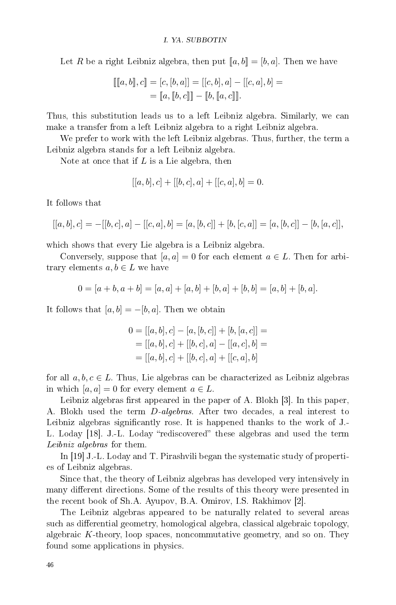Let R be a right Leibniz algebra, then put  $[a, b] = [b, a]$ . Then we have

$$
[[[a, b]], c]] = [c, [b, a]] = [[c, b], a] - [[c, a], b] =
$$

$$
= [[a, [b, c]]] - [[b, [a, c]]].
$$

Thus, this substitution leads us to a left Leibniz algebra. Similarly, we can make a transfer from a left Leibniz algebra to a right Leibniz algebra.

We prefer to work with the left Leibniz algebras. Thus, further, the term a Leibniz algebra stands for a left Leibniz algebra.

Note at once that if  $L$  is a Lie algebra, then

$$
[[a, b], c] + [[b, c], a] + [[c, a], b] = 0.
$$

It follows that

$$
[[a, b], c] = -[[b, c], a] - [[c, a], b] = [a, [b, c]] + [b, [c, a]] = [a, [b, c]] - [b, [a, c]],
$$

which shows that every Lie algebra is a Leibniz algebra.

Conversely, suppose that  $[a, a] = 0$  for each element  $a \in L$ . Then for arbitrary elements  $a, b \in L$  we have

$$
0 = [a + b, a + b] = [a, a] + [a, b] + [b, a] + [b, b] = [a, b] + [b, a].
$$

It follows that  $[a, b] = -[b, a]$ . Then we obtain

$$
0 = [[a, b], c] - [a, [b, c]] + [b, [a, c]] =
$$
  
= [[a, b], c] + [[b, c], a] - [[a, c], b] =  
= [[a, b], c] + [[b, c], a] + [[c, a], b]

for all  $a, b, c \in L$ . Thus, Lie algebras can be characterized as Leibniz algebras in which  $[a, a] = 0$  for every element  $a \in L$ .

Leibniz algebras first appeared in the paper of A. Blokh  $[3]$ . In this paper, A. Blokh used the term D-algebras. After two decades, a real interest to Leibniz algebras significantly rose. It is happened thanks to the work of J. L. Loday [18]. J.-L. Loday "rediscovered" these algebras and used the term Leibniz algebras for them.

In [19] J.-L. Loday and T. Pirashvili began the systematic study of properties of Leibniz algebras.

Since that, the theory of Leibniz algebras has developed very intensively in many different directions. Some of the results of this theory were presented in the recent book of Sh.A. Ayupov, B.A. Omirov, I.S. Rakhimov [2].

The Leibniz algebras appeared to be naturally related to several areas such as differential geometry, homological algebra, classical algebraic topology, algebraic K-theory, loop spaces, noncommutative geometry, and so on. They found some applications in physics.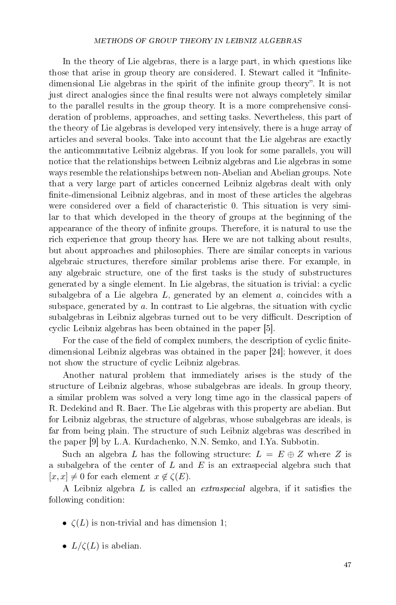In the theory of Lie algebras, there is a large part, in which questions like those that arise in group theory are considered. I. Stewart called it "Infinitedimensional Lie algebras in the spirit of the infinite group theory". It is not just direct analogies since the final results were not always completely similar to the parallel results in the group theory. It is a more comprehensive consideration of problems, approaches, and setting tasks. Nevertheless, this part of the theory of Lie algebras is developed very intensively, there is a huge array of articles and several books. Take into account that the Lie algebras are exactly the anticommutative Leibniz algebras. If you look for some parallels, you will notice that the relationships between Leibniz algebras and Lie algebras in some ways resemble the relationships between non-Abelian and Abelian groups. Note that a very large part of articles concerned Leibniz algebras dealt with only finite-dimensional Leibniz algebras, and in most of these articles the algebras were considered over a field of characteristic 0. This situation is very similar to that which developed in the theory of groups at the beginning of the appearance of the theory of infinite groups. Therefore, it is natural to use the rich experience that group theory has. Here we are not talking about results, but about approaches and philosophies. There are similar concepts in various algebraic structures, therefore similar problems arise there. For example, in any algebraic structure, one of the first tasks is the study of substructures generated by a single element. In Lie algebras, the situation is trivial: a cyclic subalgebra of a Lie algebra  $L$ , generated by an element  $a$ , coincides with a subspace, generated by a. In contrast to Lie algebras, the situation with cyclic subalgebras in Leibniz algebras turned out to be very difficult. Description of cyclic Leibniz algebras has been obtained in the paper [5].

For the case of the field of complex numbers, the description of cyclic finitedimensional Leibniz algebras was obtained in the paper [24]; however, it does not show the structure of cyclic Leibniz algebras.

Another natural problem that immediately arises is the study of the structure of Leibniz algebras, whose subalgebras are ideals. In group theory, a similar problem was solved a very long time ago in the classical papers of R. Dedekind and R. Baer. The Lie algebras with this property are abelian. But for Leibniz algebras, the structure of algebras, whose subalgebras are ideals, is far from being plain. The structure of such Leibniz algebras was described in the paper [9] by L.A. Kurdachenko, N.N. Semko, and I.Ya. Subbotin.

Such an algebra L has the following structure:  $L = E \oplus Z$  where Z is a subalgebra of the center of  $L$  and  $E$  is an extraspecial algebra such that  $[x, x] \neq 0$  for each element  $x \notin \zeta(E)$ .

A Leibniz algebra  $L$  is called an *extraspecial* algebra, if it satisfies the following condition:

- $\zeta(L)$  is non-trivial and has dimension 1;
- $L/\zeta(L)$  is abelian.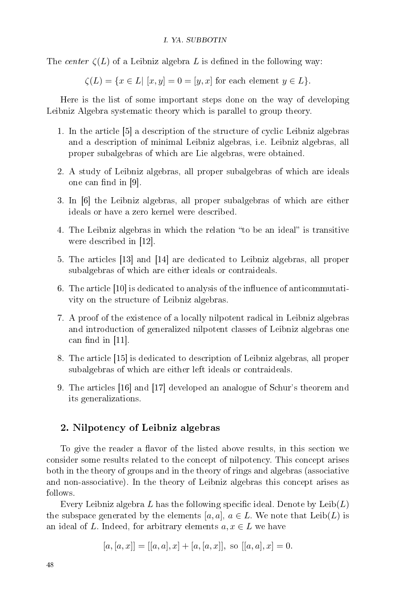The center  $\zeta(L)$  of a Leibniz algebra L is defined in the following way:

 $\zeta(L) = \{x \in L | [x, y] = 0 = [y, x] \text{ for each element } y \in L \}.$ 

Here is the list of some important steps done on the way of developing Leibniz Algebra systematic theory which is parallel to group theory.

- 1. In the article [5] a description of the structure of cyclic Leibniz algebras and a description of minimal Leibniz algebras, i.e. Leibniz algebras, all proper subalgebras of which are Lie algebras, were obtained.
- 2. A study of Leibniz algebras, all proper subalgebras of which are ideals one can find in  $[9]$ .
- 3. In [6] the Leibniz algebras, all proper subalgebras of which are either ideals or have a zero kernel were described.
- 4. The Leibniz algebras in which the relation "to be an ideal" is transitive were described in [12].
- 5. The articles [13] and [14] are dedicated to Leibniz algebras, all proper subalgebras of which are either ideals or contraideals.
- 6. The article  $[10]$  is dedicated to analysis of the influence of anticommutativity on the structure of Leibniz algebras.
- 7. A proof of the existence of a locally nilpotent radical in Leibniz algebras and introduction of generalized nilpotent classes of Leibniz algebras one can find in  $[11]$ .
- 8. The article [15] is dedicated to description of Leibniz algebras, all proper subalgebras of which are either left ideals or contraideals.
- 9. The articles [16] and [17] developed an analogue of Schur's theorem and its generalizations.

## 2. Nilpotency of Leibniz algebras

To give the reader a flavor of the listed above results, in this section we consider some results related to the concept of nilpotency. This concept arises both in the theory of groups and in the theory of rings and algebras (associative and non-associative). In the theory of Leibniz algebras this concept arises as follows.

Every Leibniz algebra L has the following specific ideal. Denote by  $\text{Leib}(L)$ the subspace generated by the elements [a, a],  $a \in L$ . We note that  $\text{Leib}(L)$  is an ideal of L. Indeed, for arbitrary elements  $a, x \in L$  we have

$$
[a,[a,x]] = [[a,a],x] + [a,[a,x]], \text{ so } [[a,a],x] = 0.
$$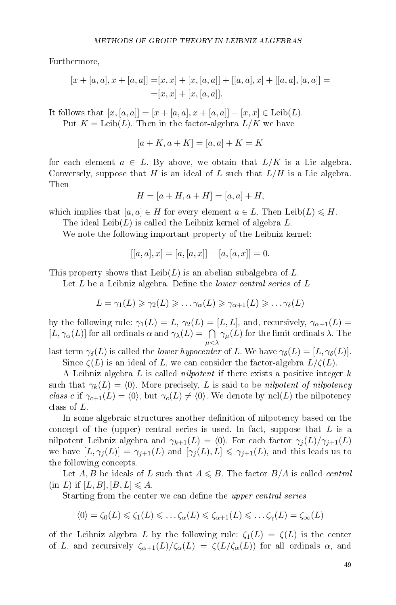Furthermore,

$$
[x + [a, a], x + [a, a]] = [x, x] + [x, [a, a]] + [[a, a], x] + [[a, a], [a, a]] =
$$
  

$$
= [x, x] + [x, [a, a]].
$$

It follows that  $[x, [a, a]] = [x + [a, a], x + [a, a]] - [x, x] \in \text{Leib}(L)$ . Put  $K = \text{Leib}(L)$ . Then in the factor-algebra  $L/K$  we have

$$
[a + K, a + K] = [a, a] + K = K
$$

for each element  $a \in L$ . By above, we obtain that  $L/K$  is a Lie algebra. Conversely, suppose that H is an ideal of L such that  $L/H$  is a Lie algebra. Then

$$
H = [a + H, a + H] = [a, a] + H,
$$

which implies that  $[a, a] \in H$  for every element  $a \in L$ . Then Leib $(L) \leq H$ .

The ideal Leib $(L)$  is called the Leibniz kernel of algebra L.

We note the following important property of the Leibniz kernel:

$$
[[a, a], x] = [a, [a, x]] - [a, [a, x]] = 0.
$$

This property shows that  $\text{Leib}(L)$  is an abelian subalgebra of L.

Let  $L$  be a Leibniz algebra. Define the *lower central series* of  $L$ 

$$
L = \gamma_1(L) \geq \gamma_2(L) \geq \ldots \gamma_{\alpha}(L) \geq \gamma_{\alpha+1}(L) \geq \ldots \gamma_{\delta}(L)
$$

by the following rule:  $\gamma_1(L) = L$ ,  $\gamma_2(L) = [L, L]$ , and, recursively,  $\gamma_{\alpha+1}(L) =$  $[L, \gamma_\alpha(L)]$  for all ordinals  $\alpha$  and  $\gamma_\lambda(L) = \bigcap$  $\mu<\lambda$  $\gamma_\mu(L)$  for the limit ordinals  $\lambda$ . The

last term  $\gamma_{\delta}(L)$  is called the *lower hypocenter* of L. We have  $\gamma_{\delta}(L) = [L, \gamma_{\delta}(L)]$ . Since  $\zeta(L)$  is an ideal of L, we can consider the factor-algebra  $L/\zeta(L)$ .

A Leibniz algebra L is called *nilpotent* if there exists a positive integer  $k$ such that  $\gamma_k(L) = \langle 0 \rangle$ . More precisely, L is said to be nilpotent of nilpotency class c if  $\gamma_{c+1}(L) = \langle 0 \rangle$ , but  $\gamma_c(L) \neq \langle 0 \rangle$ . We denote by ncl(L) the nilpotency class of L.

In some algebraic structures another definition of nilpotency based on the concept of the (upper) central series is used. In fact, suppose that  $L$  is a nilpotent Leibniz algebra and  $\gamma_{k+1}(L) = \langle 0 \rangle$ . For each factor  $\gamma_j(L)/\gamma_{j+1}(L)$ we have  $[L, \gamma_j(L)] = \gamma_{j+1}(L)$  and  $[\gamma_j(L), L] \leq \gamma_{j+1}(L)$ , and this leads us to the following concepts.

Let A, B be ideals of L such that  $A \leq B$ . The factor  $B/A$  is called *central*  $(in L)$  if  $[L, B], [B, L] \leqslant A$ .

Starting from the center we can define the *upper central series* 

$$
\langle 0 \rangle = \zeta_0(L) \leqslant \zeta_1(L) \leqslant \ldots \zeta_{\alpha}(L) \leqslant \zeta_{\alpha+1}(L) \leqslant \ldots \zeta_{\gamma}(L) = \zeta_{\infty}(L)
$$

of the Leibniz algebra L by the following rule:  $\zeta_1(L) = \zeta(L)$  is the center of L, and recursively  $\zeta_{\alpha+1}(L)/\zeta_{\alpha}(L) = \zeta(L/\zeta_{\alpha}(L))$  for all ordinals  $\alpha$ , and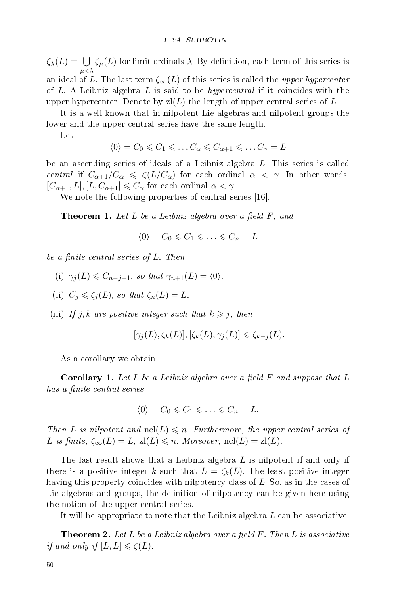$\zeta_\lambda(L) = \bigcup$  $\mu<\lambda$  $\zeta_\mu(L)$  for limit ordinals  $\lambda$ . By definition, each term of this series is an ideal of L. The last term  $\zeta_{\infty}(L)$  of this series is called the upper hypercenter of L. A Leibniz algebra L is said to be *hypercentral* if it coincides with the upper hypercenter. Denote by  $zI(L)$  the length of upper central series of L.

It is a well-known that in nilpotent Lie algebras and nilpotent groups the lower and the upper central series have the same length.

Let

$$
\langle 0 \rangle = C_0 \leqslant C_1 \leqslant \ldots C_{\alpha} \leqslant C_{\alpha+1} \leqslant \ldots C_{\gamma} = L
$$

be an ascending series of ideals of a Leibniz algebra L. This series is called central if  $C_{\alpha+1}/C_{\alpha} \le \zeta(L/C_{\alpha})$  for each ordinal  $\alpha < \gamma$ . In other words,  $[C_{\alpha+1}, L], [L, C_{\alpha+1}] \leq C_{\alpha}$  for each ordinal  $\alpha < \gamma$ .

We note the following properties of central series [16].

**Theorem 1.** Let L be a Leibniz algebra over a field F, and

 $\langle 0 \rangle = C_0 \leqslant C_1 \leqslant \ldots \leqslant C_n = L$ 

be a finite central series of L. Then

- (i)  $\gamma_i(L) \leq C_{n-i+1}$ , so that  $\gamma_{n+1}(L) = \langle 0 \rangle$ .
- (ii)  $C_j \leqslant \zeta_j(L)$ , so that  $\zeta_n(L) = L$ .
- (iii) If j, k are positive integer such that  $k \geq j$ , then

$$
[\gamma_j(L), \zeta_k(L)], [\zeta_k(L), \gamma_j(L)] \leq \zeta_{k-j}(L).
$$

As a corollary we obtain

**Corollary 1.** Let L be a Leibniz algebra over a field  $F$  and suppose that L has a finite central series

$$
\langle 0 \rangle = C_0 \leqslant C_1 \leqslant \ldots \leqslant C_n = L.
$$

Then L is nilpotent and  $\text{ncl}(L) \leqslant n$ . Furthermore, the upper central series of L is finite,  $\zeta_{\infty}(L) = L$ ,  $zI(L) \leq n$ . Moreover,  $\operatorname{ncI}(L) = zI(L)$ .

The last result shows that a Leibniz algebra  $L$  is nilpotent if and only if there is a positive integer k such that  $L = \zeta_k(L)$ . The least positive integer having this property coincides with nilpotency class of  $L$ . So, as in the cases of Lie algebras and groups, the definition of nilpotency can be given here using the notion of the upper central series.

It will be appropriate to note that the Leibniz algebra L can be associative.

**Theorem 2.** Let L be a Leibniz algebra over a field  $F$ . Then L is associative if and only if  $[L, L] \leq \zeta(L)$ .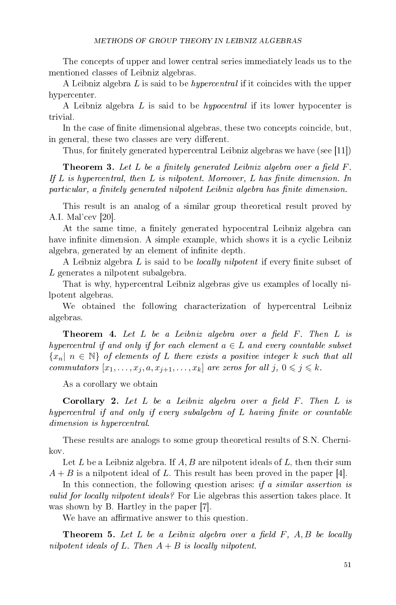The concepts of upper and lower central series immediately leads us to the mentioned classes of Leibniz algebras.

A Leibniz algebra L is said to be hypercentral if it coincides with the upper hypercenter.

A Leibniz algebra L is said to be hypocentral if its lower hypocenter is trivial.

In the case of finite dimensional algebras, these two concepts coincide, but, in general, these two classes are very different.

Thus, for finitely generated hypercentral Leibniz algebras we have (see [11])

**Theorem 3.** Let L be a finitely generated Leibniz algebra over a field  $F$ . If  $L$  is hypercentral, then  $L$  is nilpotent. Moreover,  $L$  has finite dimension. In particular, a finitely generated nilpotent Leibniz algebra has finite dimension.

This result is an analog of a similar group theoretical result proved by A.I. Mal'cev [20].

At the same time, a finitely generated hypocentral Leibniz algebra can have infinite dimension. A simple example, which shows it is a cyclic Leibniz algebra, generated by an element of infinite depth.

A Leibniz algebra L is said to be *locally nilpotent* if every finite subset of L generates a nilpotent subalgebra.

That is why, hypercentral Leibniz algebras give us examples of locally nilpotent algebras.

We obtained the following characterization of hypercentral Leibniz algebras.

**Theorem 4.** Let L be a Leibniz algebra over a field  $F$ . Then L is hypercentral if and only if for each element  $a \in L$  and every countable subset  ${x_n | n \in \mathbb{N}}$  of elements of L there exists a positive integer k such that all commutators  $[x_1, \ldots, x_j, a, x_{j+1}, \ldots, x_k]$  are zeros for all  $j, 0 \leq j \leq k$ .

As a corollary we obtain

**Corollary 2.** Let  $L$  be a Leibniz algebra over a field  $F$ . Then  $L$  is  $hypercentral$  if and only if every subalgebra of  $L$  having finite or countable dimension is hypercentral.

These results are analogs to some group theoretical results of S.N. Chernikov.

Let  $L$  be a Leibniz algebra. If  $A, B$  are nilpotent ideals of  $L$ , then their sum  $A + B$  is a nilpotent ideal of L. This result has been proved in the paper [4].

In this connection, the following question arises: if a similar assertion is valid for locally nilpotent ideals? For Lie algebras this assertion takes place. It was shown by B. Hartley in the paper [7].

We have an affirmative answer to this question.

**Theorem 5.** Let L be a Leibniz algebra over a field  $F$ ,  $A, B$  be locally nilpotent ideals of L. Then  $A + B$  is locally nilpotent.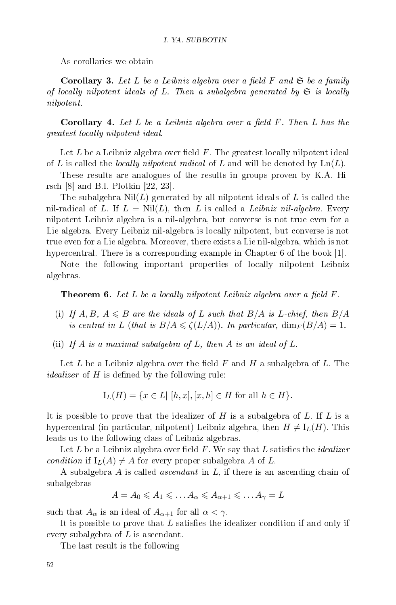As corollaries we obtain

**Corollary 3.** Let L be a Leibniz algebra over a field F and  $\mathfrak{S}$  be a family of locally nilpotent ideals of L. Then a subalgebra generated by  $\mathfrak{S}$  is locally nilpotent.

**Corollary 4.** Let L be a Leibniz algebra over a field  $F$ . Then L has the greatest locally nilpotent ideal.

Let  $L$  be a Leibniz algebra over field  $F$ . The greatest locally nilpotent ideal of L is called the *locally nilpotent radical* of L and will be denoted by  $\text{Ln}(L)$ .

These results are analogues of the results in groups proven by K.A. Hirsch [8] and B.I. Plotkin [22, 23].

The subalgebra  $\text{Nil}(L)$  generated by all nilpotent ideals of L is called the nil-radical of L. If  $L = Nil(L)$ , then L is called a Leibniz nil-algebra. Every nilpotent Leibniz algebra is a nil-algebra, but converse is not true even for a Lie algebra. Every Leibniz nil-algebra is locally nilpotent, but converse is not true even for a Lie algebra. Moreover, there exists a Lie nil-algebra, which is not hypercentral. There is a corresponding example in Chapter 6 of the book [1].

Note the following important properties of locally nilpotent Leibniz algebras.

**Theorem 6.** Let L be a locally nilpotent Leibniz algebra over a field  $F$ .

- (i) If  $A, B, A \leq B$  are the ideals of L such that  $B/A$  is L-chief, then  $B/A$ is central in L (that is  $B/A \leq \zeta(L/A)$ ). In particular,  $\dim_F(B/A) = 1$ .
- (ii) If A is a maximal subalgebra of L, then A is an ideal of L.

Let L be a Leibniz algebra over the field F and H a subalgebra of L. The *idealizer* of  $H$  is defined by the following rule:

$$
I_L(H) = \{ x \in L | [h, x], [x, h] \in H \text{ for all } h \in H \}.
$$

It is possible to prove that the idealizer of  $H$  is a subalgebra of  $L$ . If  $L$  is a hypercentral (in particular, nilpotent) Leibniz algebra, then  $H \neq I_L(H)$ . This leads us to the following class of Leibniz algebras.

Let  $L$  be a Leibniz algebra over field  $F$ . We say that  $L$  satisfies the *idealizer* condition if  $I_L(A) \neq A$  for every proper subalgebra A of L.

A subalgebra A is called ascendant in L, if there is an ascending chain of subalgebras

$$
A = A_0 \leq A_1 \leq \dots A_{\alpha} \leq A_{\alpha+1} \leq \dots A_{\gamma} = L
$$

such that  $A_{\alpha}$  is an ideal of  $A_{\alpha+1}$  for all  $\alpha < \gamma$ .

It is possible to prove that  $L$  satisfies the idealizer condition if and only if every subalgebra of  $L$  is ascendant.

The last result is the following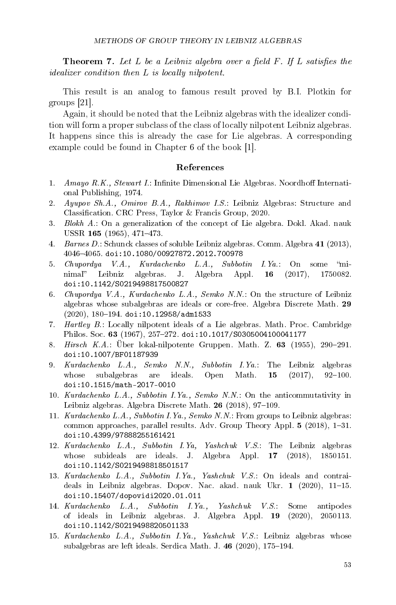**Theorem 7.** Let L be a Leibniz algebra over a field  $F$ . If L satisfies the idealizer condition then L is locally nilpotent.

This result is an analog to famous result proved by B.I. Plotkin for groups [21].

Again, it should be noted that the Leibniz algebras with the idealizer condition will form a proper subclass of the class of locally nilpotent Leibniz algebras. It happens since this is already the case for Lie algebras. A corresponding example could be found in Chapter 6 of the book [1].

#### References

- 1. Amayo  $R.K.$ , Stewart I.: Infinite Dimensional Lie Algebras. Noordhoff International Publishing, 1974.
- 2. Ayupov Sh.A., Omirov B.A., Rakhimov I.S.: Leibniz Algebras: Structure and Classification. CRC Press, Taylor & Francis Group, 2020.
- 3. Blokh A.: On a generalization of the concept of Lie algebra. Dokl. Akad. nauk USSR 165 (1965),  $471-473$ .
- 4. Barnes D.: Schunck classes of soluble Leibniz algebras. Comm. Algebra 41 (2013), 40464065. doi:10.1080/00927872.2012.700978
- 5. Chupordya V.A., Kurdachenko L.A., Subbotin I.Ya.: On some minimal" Leibniz algebras. J. Algebra Appl. **16** (2017), 1750082. doi:10.1142/S0219498817500827
- 6. Chupordya V.A., Kurdachenko L.A., Semko N.N.: On the structure of Leibniz algebras whose subalgebras are ideals or core-free. Algebra Discrete Math. 29  $(2020), 180 - 194.$  doi:10.12958/adm1533
- 7. Hartley B.: Locally nilpotent ideals of a Lie algebras. Math. Proc. Cambridge Philos. Soc. 63 (1967), 257-272. doi:10.1017/S0305004100041177
- 8. Hirsch K.A.: Über lokal-nilpotente Gruppen. Math. Z.  $63$  (1955), 290-291. doi:10.1007/BF01187939
- 9. Kurdachenko L.A., Semko N.N., Subbotin I.Ya.: The Leibniz algebras whose subalgebras are ideals. Open Math.  $15$  (2017), 92-100. doi:10.1515/math-2017-0010
- 10. Kurdachenko L.A., Subbotin I.Ya., Semko N.N.: On the anticommutativity in Leibniz algebras. Algebra Discrete Math. 26 (2018), 97-109.
- 11. Kurdachenko L.A., Subbotin I.Ya., Semko N.N.: From groups to Leibniz algebras: common approaches, parallel results. Adv. Group Theory Appl.  $5$  (2018), 1-31. doi:10.4399/97888255161421
- 12. Kurdachenko L.A., Subbotin I.Ya, Yashchuk V.S.: The Leibniz algebras whose subideals are ideals. J. Algebra Appl. 17 (2018), 1850151. doi:10.1142/S0219498818501517
- 13. Kurdachenko L.A., Subbotin I.Ya., Yashchuk V.S.: On ideals and contraideals in Leibniz algebras. Dopov. Nac. akad. nauk Ukr. 1 (2020), 11-15. doi:10.15407/dopovidi2020.01.011
- 14. Kurdachenko L.A., Subbotin I.Ya., Yashchuk V.S.: Some antipodes of ideals in Leibniz algebras. J. Algebra Appl. 19 (2020), 2050113. doi:10.1142/S0219498820501133
- 15. Kurdachenko L.A., Subbotin I.Ya., Yashchuk V.S.: Leibniz algebras whose subalgebras are left ideals. Serdica Math. J.  $46$  (2020), 175-194.